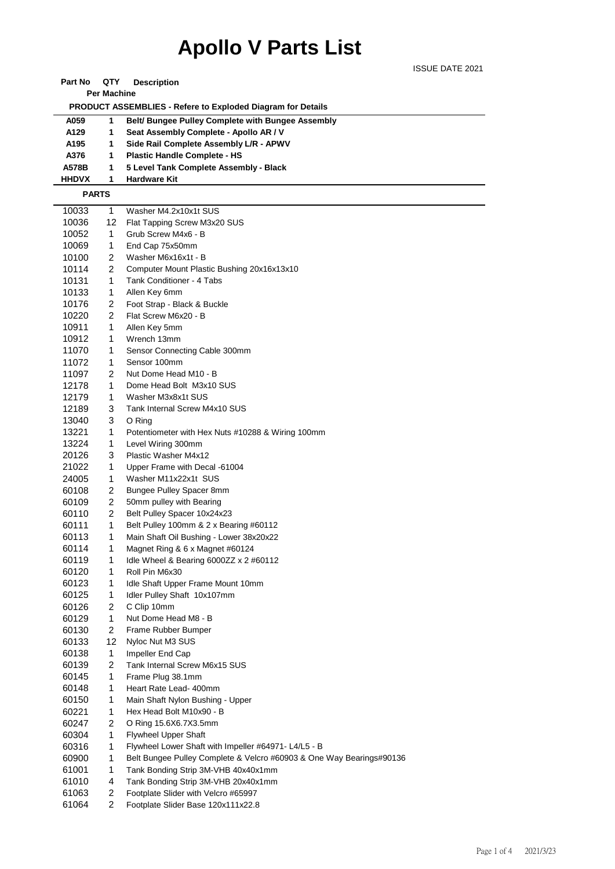## **Apollo V Parts List**

ISSUE DATE 2021

| Part No                                                            | QTY                     | <b>Description</b>                                                   |  |  |  |  |  |
|--------------------------------------------------------------------|-------------------------|----------------------------------------------------------------------|--|--|--|--|--|
|                                                                    | <b>Per Machine</b>      |                                                                      |  |  |  |  |  |
| <b>PRODUCT ASSEMBLIES - Refere to Exploded Diagram for Details</b> |                         |                                                                      |  |  |  |  |  |
| A059                                                               | 1                       | Belt/ Bungee Pulley Complete with Bungee Assembly                    |  |  |  |  |  |
| A129                                                               | 1                       | Seat Assembly Complete - Apollo AR / V                               |  |  |  |  |  |
| A195                                                               | 1                       | Side Rail Complete Assembly L/R - APWV                               |  |  |  |  |  |
| A376                                                               | 1                       | <b>Plastic Handle Complete - HS</b>                                  |  |  |  |  |  |
| A578B                                                              | 1                       | 5 Level Tank Complete Assembly - Black                               |  |  |  |  |  |
| <b>HHDVX</b>                                                       | 1                       | <b>Hardware Kit</b>                                                  |  |  |  |  |  |
|                                                                    | <b>PARTS</b>            |                                                                      |  |  |  |  |  |
|                                                                    |                         |                                                                      |  |  |  |  |  |
| 10033                                                              | 1                       | Washer M4.2x10x1t SUS                                                |  |  |  |  |  |
| 10036                                                              | 12                      | Flat Tapping Screw M3x20 SUS                                         |  |  |  |  |  |
| 10052                                                              | 1                       | Grub Screw M4x6 - B                                                  |  |  |  |  |  |
| 10069                                                              | 1                       | End Cap 75x50mm                                                      |  |  |  |  |  |
| 10100                                                              | 2                       | Washer M6x16x1t - B                                                  |  |  |  |  |  |
| 10114                                                              | $\overline{2}$          | Computer Mount Plastic Bushing 20x16x13x10                           |  |  |  |  |  |
| 10131                                                              | 1                       | Tank Conditioner - 4 Tabs                                            |  |  |  |  |  |
| 10133                                                              | 1                       | Allen Key 6mm                                                        |  |  |  |  |  |
| 10176                                                              | $\overline{2}$          | Foot Strap - Black & Buckle                                          |  |  |  |  |  |
| 10220                                                              | $\overline{2}$          | Flat Screw M6x20 - B                                                 |  |  |  |  |  |
| 10911                                                              | 1                       | Allen Key 5mm                                                        |  |  |  |  |  |
| 10912                                                              | 1                       | Wrench 13mm                                                          |  |  |  |  |  |
| 11070                                                              | 1                       | Sensor Connecting Cable 300mm                                        |  |  |  |  |  |
| 11072                                                              | 1                       | Sensor 100mm                                                         |  |  |  |  |  |
| 11097                                                              | 2                       | Nut Dome Head M10 - B                                                |  |  |  |  |  |
| 12178                                                              | 1                       | Dome Head Bolt M3x10 SUS                                             |  |  |  |  |  |
| 12179                                                              | 1                       | Washer M3x8x1t SUS                                                   |  |  |  |  |  |
| 12189                                                              | 3                       | Tank Internal Screw M4x10 SUS                                        |  |  |  |  |  |
| 13040                                                              | 3                       | O Ring                                                               |  |  |  |  |  |
| 13221                                                              | 1                       | Potentiometer with Hex Nuts #10288 & Wiring 100mm                    |  |  |  |  |  |
| 13224                                                              | 1                       | Level Wiring 300mm                                                   |  |  |  |  |  |
| 20126                                                              | 3                       | Plastic Washer M4x12                                                 |  |  |  |  |  |
| 21022                                                              | 1                       | Upper Frame with Decal -61004                                        |  |  |  |  |  |
| 24005                                                              | 1                       | Washer M11x22x1t SUS                                                 |  |  |  |  |  |
| 60108                                                              | 2                       | Bungee Pulley Spacer 8mm                                             |  |  |  |  |  |
| 60109                                                              | $\overline{2}$          | 50mm pulley with Bearing                                             |  |  |  |  |  |
| 60110                                                              | $\overline{2}$          | Belt Pulley Spacer 10x24x23                                          |  |  |  |  |  |
| 60111                                                              | 1                       | Belt Pulley 100mm & 2 x Bearing #60112                               |  |  |  |  |  |
| 60113                                                              | 1                       | Main Shaft Oil Bushing - Lower 38x20x22                              |  |  |  |  |  |
| 60114                                                              | 1                       | Magnet Ring & 6 x Magnet #60124                                      |  |  |  |  |  |
| 60119                                                              | 1                       | Idle Wheel & Bearing 6000ZZ x 2 #60112                               |  |  |  |  |  |
| 60120                                                              | 1                       | Roll Pin M6x30                                                       |  |  |  |  |  |
| 60123                                                              | 1                       | Idle Shaft Upper Frame Mount 10mm                                    |  |  |  |  |  |
| 60125                                                              | $\mathbf{1}$            | Idler Pulley Shaft 10x107mm                                          |  |  |  |  |  |
| 60126                                                              | $\overline{\mathbf{c}}$ | C Clip 10mm                                                          |  |  |  |  |  |
| 60129                                                              | 1                       | Nut Dome Head M8 - B                                                 |  |  |  |  |  |
| 60130                                                              | 2                       | Frame Rubber Bumper                                                  |  |  |  |  |  |
| 60133                                                              | 12                      | Nyloc Nut M3 SUS                                                     |  |  |  |  |  |
| 60138                                                              | 1                       | Impeller End Cap                                                     |  |  |  |  |  |
| 60139                                                              | 2                       | Tank Internal Screw M6x15 SUS                                        |  |  |  |  |  |
| 60145                                                              | 1                       | Frame Plug 38.1mm                                                    |  |  |  |  |  |
| 60148                                                              | 1                       | Heart Rate Lead- 400mm                                               |  |  |  |  |  |
| 60150                                                              | 1                       | Main Shaft Nylon Bushing - Upper                                     |  |  |  |  |  |
| 60221                                                              | 1                       | Hex Head Bolt M10x90 - B                                             |  |  |  |  |  |
| 60247                                                              | 2                       | O Ring 15.6X6.7X3.5mm                                                |  |  |  |  |  |
| 60304                                                              | 1                       | <b>Flywheel Upper Shaft</b>                                          |  |  |  |  |  |
| 60316                                                              | 1                       | Flywheel Lower Shaft with Impeller #64971- L4/L5 - B                 |  |  |  |  |  |
| 60900                                                              | 1                       | Belt Bungee Pulley Complete & Velcro #60903 & One Way Bearings#90136 |  |  |  |  |  |
| 61001                                                              | $\mathbf{1}$            | Tank Bonding Strip 3M-VHB 40x40x1mm                                  |  |  |  |  |  |
| 61010                                                              | 4                       | Tank Bonding Strip 3M-VHB 20x40x1mm                                  |  |  |  |  |  |
| 61063                                                              | 2                       | Footplate Slider with Velcro #65997                                  |  |  |  |  |  |
| 61064                                                              | $\overline{2}$          | Footplate Slider Base 120x111x22.8                                   |  |  |  |  |  |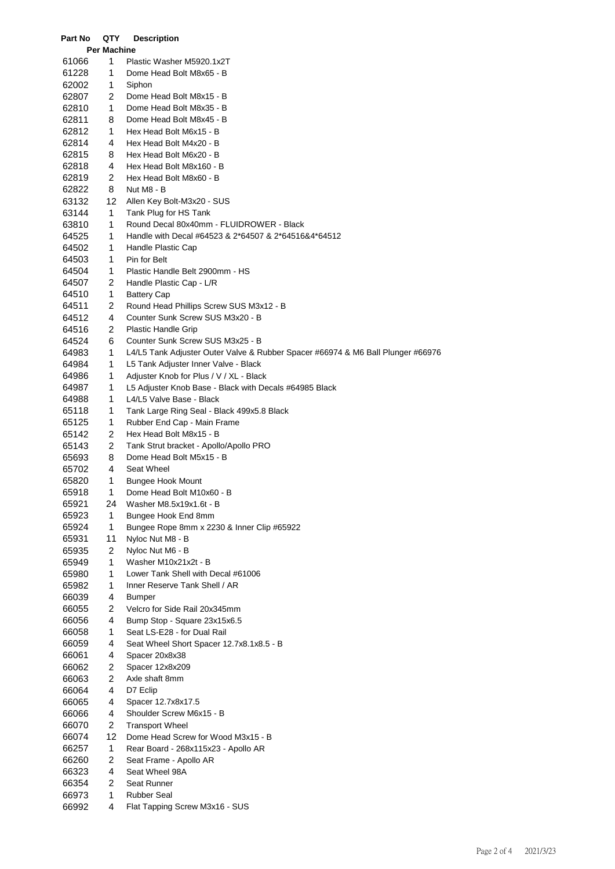| Part No        | QTY                | <b>Description</b>                                                              |
|----------------|--------------------|---------------------------------------------------------------------------------|
|                | <b>Per Machine</b> |                                                                                 |
| 61066          | 1                  | Plastic Washer M5920.1x2T                                                       |
| 61228          | 1                  | Dome Head Bolt M8x65 - B                                                        |
| 62002          | 1                  | Siphon                                                                          |
| 62807          | 2                  | Dome Head Bolt M8x15 - B                                                        |
| 62810          | 1                  | Dome Head Bolt M8x35 - B                                                        |
| 62811          | 8                  | Dome Head Bolt M8x45 - B                                                        |
| 62812          | 1                  | Hex Head Bolt M6x15 - B                                                         |
| 62814          | 4                  | Hex Head Bolt M4x20 - B                                                         |
| 62815          | 8                  | Hex Head Bolt M6x20 - B                                                         |
| 62818          | 4                  | Hex Head Bolt M8x160 - B                                                        |
| 62819          | 2                  | Hex Head Bolt M8x60 - B                                                         |
| 62822          | 8                  | Nut M8 - B                                                                      |
| 63132          | 12                 | Allen Key Bolt-M3x20 - SUS                                                      |
| 63144          | 1                  | Tank Plug for HS Tank                                                           |
| 63810          | 1                  | Round Decal 80x40mm - FLUIDROWER - Black                                        |
| 64525          | 1                  | Handle with Decal #64523 & 2*64507 & 2*64516&4*64512                            |
| 64502          | 1                  | Handle Plastic Cap                                                              |
| 64503          | 1                  | Pin for Belt                                                                    |
| 64504          | 1                  | Plastic Handle Belt 2900mm - HS                                                 |
| 64507          | 2                  | Handle Plastic Cap - L/R                                                        |
| 64510          | 1                  | <b>Battery Cap</b>                                                              |
| 64511          | 2                  | Round Head Phillips Screw SUS M3x12 - B                                         |
| 64512          | 4                  | Counter Sunk Screw SUS M3x20 - B                                                |
| 64516          | 2                  | <b>Plastic Handle Grip</b>                                                      |
| 64524          | 6                  | Counter Sunk Screw SUS M3x25 - B                                                |
| 64983          | 1                  | L4/L5 Tank Adjuster Outer Valve & Rubber Spacer #66974 & M6 Ball Plunger #66976 |
| 64984          | 1                  | L5 Tank Adjuster Inner Valve - Black                                            |
| 64986          | 1                  | Adjuster Knob for Plus / V / XL - Black                                         |
| 64987          | 1                  | L5 Adjuster Knob Base - Black with Decals #64985 Black                          |
| 64988          | 1                  | L4/L5 Valve Base - Black                                                        |
| 65118          | 1                  | Tank Large Ring Seal - Black 499x5.8 Black                                      |
| 65125<br>65142 | 1<br>2             | Rubber End Cap - Main Frame                                                     |
|                | 2                  | Hex Head Bolt M8x15 - B                                                         |
| 65143<br>65693 | 8                  | Tank Strut bracket - Apollo/Apollo PRO<br>Dome Head Bolt M5x15 - B              |
| 65702          | 4                  | Seat Wheel                                                                      |
| 65820          | 1                  | Bungee Hook Mount                                                               |
| 65918          | 1.                 | Dome Head Bolt M10x60 - B                                                       |
| 65921          | 24                 | Washer M8.5x19x1.6t - B                                                         |
| 65923          | 1                  | Bungee Hook End 8mm                                                             |
| 65924          | 1                  | Bungee Rope 8mm x 2230 & Inner Clip #65922                                      |
| 65931          | 11                 | Nyloc Nut M8 - B                                                                |
| 65935          | 2                  | Nyloc Nut M6 - B                                                                |
| 65949          | 1                  | Washer M10x21x2t - B                                                            |
| 65980          | 1                  | Lower Tank Shell with Decal #61006                                              |
| 65982          | 1                  | Inner Reserve Tank Shell / AR                                                   |
| 66039          | 4                  | <b>Bumper</b>                                                                   |
| 66055          | 2                  | Velcro for Side Rail 20x345mm                                                   |
| 66056          | 4                  | Bump Stop - Square 23x15x6.5                                                    |
| 66058          | 1                  | Seat LS-E28 - for Dual Rail                                                     |
| 66059          | 4                  | Seat Wheel Short Spacer 12.7x8.1x8.5 - B                                        |
| 66061          | 4                  | Spacer 20x8x38                                                                  |
| 66062          | 2                  | Spacer 12x8x209                                                                 |
| 66063          | 2                  | Axle shaft 8mm                                                                  |
| 66064          | 4                  | D7 Eclip                                                                        |
| 66065          | 4                  | Spacer 12.7x8x17.5                                                              |
| 66066          | 4                  | Shoulder Screw M6x15 - B                                                        |
| 66070          | 2                  | <b>Transport Wheel</b>                                                          |
| 66074          | 12                 | Dome Head Screw for Wood M3x15 - B                                              |
| 66257          | 1                  | Rear Board - 268x115x23 - Apollo AR                                             |
| 66260          | 2                  | Seat Frame - Apollo AR                                                          |
| 66323          | 4                  | Seat Wheel 98A                                                                  |
| 66354          | 2                  | Seat Runner                                                                     |
| 66973          | 1                  | <b>Rubber Seal</b>                                                              |
| 66992          | 4                  | Flat Tapping Screw M3x16 - SUS                                                  |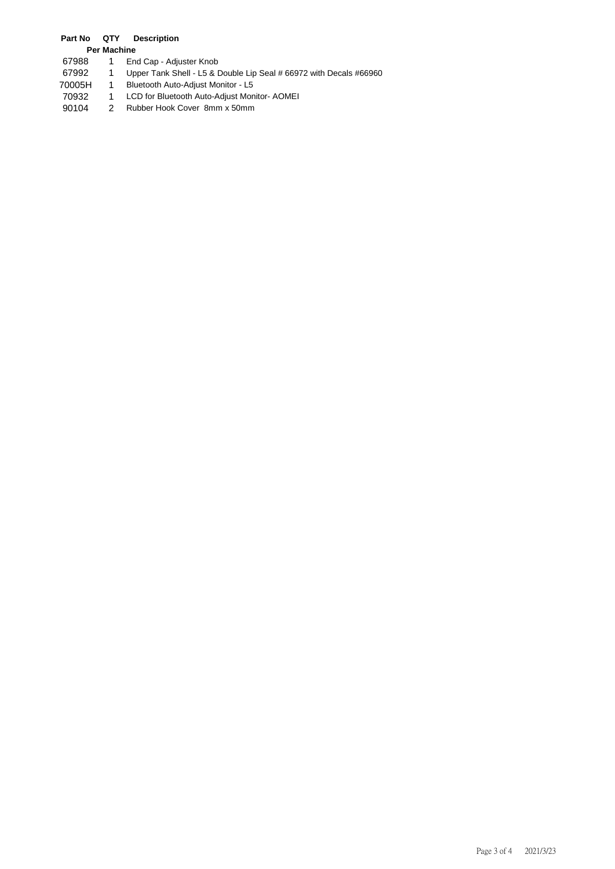## **Part No QTY Description**

- **Per Machine** 67988 1 End Cap - Adjuster Knob
- 67992 1 Upper Tank Shell L5 & Double Lip Seal # 66972 with Decals #66960
- 70005H 1 Bluetooth Auto-Adjust Monitor L5
- 70932 1 LCD for Bluetooth Auto-Adjust Monitor- AOMEI
- 2 Rubber Hook Cover 8mm x 50mm